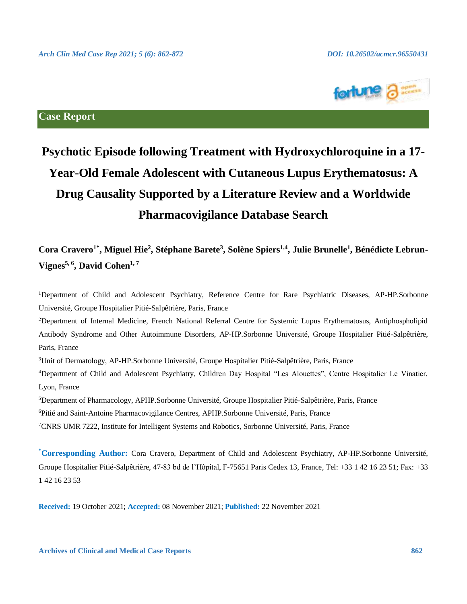

# **Case Report**

# **Psychotic Episode following Treatment with Hydroxychloroquine in a 17- Year-Old Female Adolescent with Cutaneous Lupus Erythematosus: A Drug Causality Supported by a Literature Review and a Worldwide Pharmacovigilance Database Search**

# **Cora Cravero1\* , Miguel Hie<sup>2</sup> , Stéphane Barete<sup>3</sup> , Solène Spiers1,4, Julie Brunelle<sup>1</sup> , Bénédicte Lebrun-Vignes5, <sup>6</sup> , David Cohen1, <sup>7</sup>**

<sup>1</sup>Department of Child and Adolescent Psychiatry, Reference Centre for Rare Psychiatric Diseases, AP-HP.Sorbonne Université, Groupe Hospitalier Pitié-Salpêtrière, Paris, France

<sup>2</sup>Department of Internal Medicine, French National Referral Centre for Systemic Lupus Erythematosus, Antiphospholipid Antibody Syndrome and Other Autoimmune Disorders, AP-HP.Sorbonne Université, Groupe Hospitalier Pitié-Salpêtrière, Paris, France

<sup>3</sup>Unit of Dermatology, AP-HP.Sorbonne Université, Groupe Hospitalier Pitié-Salpêtrière, Paris, France

<sup>4</sup>Department of Child and Adolescent Psychiatry, Children Day Hospital "Les Alouettes", Centre Hospitalier Le Vinatier, Lyon, France

<sup>5</sup>Department of Pharmacology, APHP.Sorbonne Université, Groupe Hospitalier Pitié-Salpêtrière, Paris, France

<sup>6</sup>Pitié and Saint-Antoine Pharmacovigilance Centres, APHP.Sorbonne Université, Paris, France

<sup>7</sup>CNRS UMR 7222, Institute for Intelligent Systems and Robotics, Sorbonne Université, Paris, France

**\*Corresponding Author:** Cora Cravero, Department of Child and Adolescent Psychiatry, AP-HP.Sorbonne Université, Groupe Hospitalier Pitié-Salpêtrière, 47-83 bd de l'Hôpital, F-75651 Paris Cedex 13, France, Tel: +33 1 42 16 23 51; Fax: +33 1 42 16 23 53

**Received:** 19 October 2021; **Accepted:** 08 November 2021; **Published:** 22 November 2021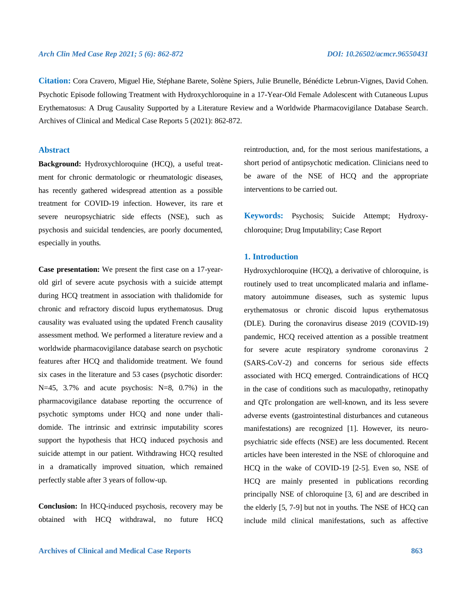**Citation:** Cora Cravero, Miguel Hie, Stéphane Barete, Solène Spiers, Julie Brunelle, Bénédicte Lebrun-Vignes, David Cohen. Psychotic Episode following Treatment with Hydroxychloroquine in a 17-Year-Old Female Adolescent with Cutaneous Lupus Erythematosus: A Drug Causality Supported by a Literature Review and a Worldwide Pharmacovigilance Database Search. Archives of Clinical and Medical Case Reports 5 (2021): 862-872.

# **Abstract**

**Background:** Hydroxychloroquine (HCQ), a useful treatment for chronic dermatologic or rheumatologic diseases, has recently gathered widespread attention as a possible treatment for COVID-19 infection. However, its rare et severe neuropsychiatric side effects (NSE), such as psychosis and suicidal tendencies, are poorly documented, especially in youths.

**Case presentation:** We present the first case on a 17-yearold girl of severe acute psychosis with a suicide attempt during HCQ treatment in association with thalidomide for chronic and refractory discoid lupus erythematosus. Drug causality was evaluated using the updated French causality assessment method. We performed a literature review and a worldwide pharmacovigilance database search on psychotic features after HCQ and thalidomide treatment. We found six cases in the literature and 53 cases (psychotic disorder:  $N=45$ , 3.7% and acute psychosis:  $N=8$ , 0.7%) in the pharmacovigilance database reporting the occurrence of psychotic symptoms under HCQ and none under thalidomide. The intrinsic and extrinsic imputability scores support the hypothesis that HCQ induced psychosis and suicide attempt in our patient. Withdrawing HCQ resulted in a dramatically improved situation, which remained perfectly stable after 3 years of follow-up.

**Conclusion:** In HCQ-induced psychosis, recovery may be obtained with HCQ withdrawal, no future HCQ reintroduction, and, for the most serious manifestations, a short period of antipsychotic medication. Clinicians need to be aware of the NSE of HCQ and the appropriate interventions to be carried out.

**Keywords:** Psychosis; Suicide Attempt; Hydroxychloroquine; Drug Imputability; Case Report

# **1. Introduction**

Hydroxychloroquine (HCQ), a derivative of chloroquine, is routinely used to treat uncomplicated malaria and inflamematory autoimmune diseases, such as systemic lupus erythematosus or chronic discoid lupus erythematosus (DLE). During the coronavirus disease 2019 (COVID-19) pandemic, HCQ received attention as a possible treatment for severe acute respiratory syndrome coronavirus 2 (SARS-CoV-2) and concerns for serious side effects associated with HCQ emerged. Contraindications of HCQ in the case of conditions such as maculopathy, retinopathy and QTc prolongation are well-known, and its less severe adverse events (gastrointestinal disturbances and cutaneous manifestations) are recognized [1]. However, its neuropsychiatric side effects (NSE) are less documented. Recent articles have been interested in the NSE of chloroquine and HCQ in the wake of COVID-19 [2-5]. Even so, NSE of HCQ are mainly presented in publications recording principally NSE of chloroquine [3, 6] and are described in the elderly [5, 7-9] but not in youths. The NSE of HCQ can include mild clinical manifestations, such as affective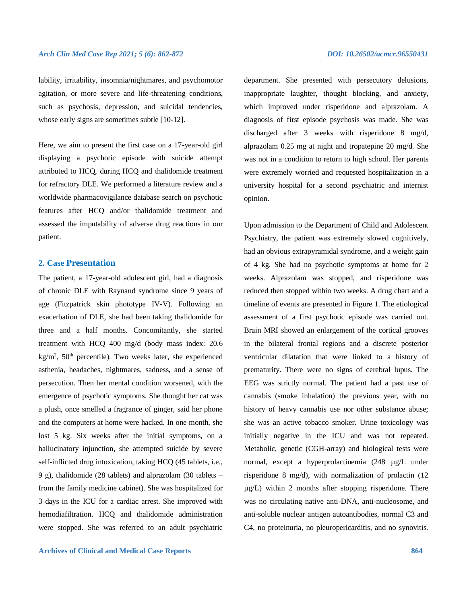lability, irritability, insomnia/nightmares, and psychomotor agitation, or more severe and life-threatening conditions, such as psychosis, depression, and suicidal tendencies, whose early signs are sometimes subtle [10-12].

Here, we aim to present the first case on a 17-year-old girl displaying a psychotic episode with suicide attempt attributed to HCQ, during HCQ and thalidomide treatment for refractory DLE. We performed a literature review and a worldwide pharmacovigilance database search on psychotic features after HCQ and/or thalidomide treatment and assessed the imputability of adverse drug reactions in our patient.

# **2. Case Presentation**

The patient, a 17-year-old adolescent girl, had a diagnosis of chronic DLE with Raynaud syndrome since 9 years of age (Fitzpatrick skin phototype IV-V). Following an exacerbation of DLE, she had been taking thalidomide for three and a half months. Concomitantly, she started treatment with HCQ 400 mg/d (body mass index: 20.6  $\text{kg/m}^2$ , 50<sup>th</sup> percentile). Two weeks later, she experienced asthenia, headaches, nightmares, sadness, and a sense of persecution. Then her mental condition worsened, with the emergence of psychotic symptoms. She thought her cat was a plush, once smelled a fragrance of ginger, said her phone and the computers at home were hacked. In one month, she lost 5 kg. Six weeks after the initial symptoms, on a hallucinatory injunction, she attempted suicide by severe self-inflicted drug intoxication, taking HCQ (45 tablets, i.e., 9 g), thalidomide (28 tablets) and alprazolam (30 tablets – from the family medicine cabinet). She was hospitalized for 3 days in the ICU for a cardiac arrest. She improved with hemodiafiltration. HCQ and thalidomide administration were stopped. She was referred to an adult psychiatric department. She presented with persecutory delusions, inappropriate laughter, thought blocking, and anxiety, which improved under risperidone and alprazolam. A diagnosis of first episode psychosis was made. She was discharged after 3 weeks with risperidone 8 mg/d, alprazolam 0.25 mg at night and tropatepine 20 mg/d. She was not in a condition to return to high school. Her parents were extremely worried and requested hospitalization in a university hospital for a second psychiatric and internist opinion.

Upon admission to the Department of Child and Adolescent Psychiatry, the patient was extremely slowed cognitively, had an obvious extrapyramidal syndrome, and a weight gain of 4 kg. She had no psychotic symptoms at home for 2 weeks. Alprazolam was stopped, and risperidone was reduced then stopped within two weeks. A drug chart and a timeline of events are presented in Figure 1. The etiological assessment of a first psychotic episode was carried out. Brain MRI showed an enlargement of the cortical grooves in the bilateral frontal regions and a discrete posterior ventricular dilatation that were linked to a history of prematurity. There were no signs of cerebral lupus. The EEG was strictly normal. The patient had a past use of cannabis (smoke inhalation) the previous year, with no history of heavy cannabis use nor other substance abuse; she was an active tobacco smoker. Urine toxicology was initially negative in the ICU and was not repeated. Metabolic, genetic (CGH-array) and biological tests were normal, except a hyperprolactinemia (248 µg/L under risperidone 8 mg/d), with normalization of prolactin (12  $\mu$ g/L) within 2 months after stopping risperidone. There was no circulating native anti-DNA, anti-nucleosome, and anti-soluble nuclear antigen autoantibodies, normal C3 and C4, no proteinuria, no pleuropericarditis, and no synovitis.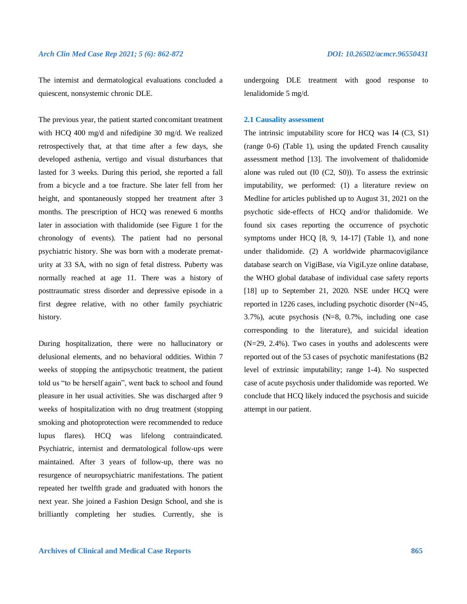The internist and dermatological evaluations concluded a quiescent, nonsystemic chronic DLE.

The previous year, the patient started concomitant treatment with HCQ 400 mg/d and nifedipine 30 mg/d. We realized retrospectively that, at that time after a few days, she developed asthenia, vertigo and visual disturbances that lasted for 3 weeks. During this period, she reported a fall from a bicycle and a toe fracture. She later fell from her height, and spontaneously stopped her treatment after 3 months. The prescription of HCQ was renewed 6 months later in association with thalidomide (see Figure 1 for the chronology of events). The patient had no personal psychiatric history. She was born with a moderate prematurity at 33 SA, with no sign of fetal distress. Puberty was normally reached at age 11. There was a history of posttraumatic stress disorder and depressive episode in a first degree relative, with no other family psychiatric history.

During hospitalization, there were no hallucinatory or delusional elements, and no behavioral oddities. Within 7 weeks of stopping the antipsychotic treatment, the patient told us "to be herself again", went back to school and found pleasure in her usual activities. She was discharged after 9 weeks of hospitalization with no drug treatment (stopping smoking and photoprotection were recommended to reduce lupus flares). HCQ was lifelong contraindicated. Psychiatric, internist and dermatological follow-ups were maintained. After 3 years of follow-up, there was no resurgence of neuropsychiatric manifestations. The patient repeated her twelfth grade and graduated with honors the next year. She joined a Fashion Design School, and she is brilliantly completing her studies. Currently, she is undergoing DLE treatment with good response to lenalidomide 5 mg/d.

# **2.1 Causality assessment**

The intrinsic imputability score for HCQ was I4 (C3, S1) (range 0-6) (Table 1), using the updated French causality assessment method [13]. The involvement of thalidomide alone was ruled out (I0 (C2, S0)). To assess the extrinsic imputability, we performed: (1) a literature review on Medline for articles published up to August 31, 2021 on the psychotic side-effects of HCQ and/or thalidomide. We found six cases reporting the occurrence of psychotic symptoms under HCQ [8, 9, 14-17] (Table 1), and none under thalidomide. (2) A worldwide pharmacovigilance database search on VigiBase, via VigiLyze online database, the WHO global database of individual case safety reports [18] up to September 21, 2020. NSE under HCQ were reported in 1226 cases, including psychotic disorder (N=45, 3.7%), acute psychosis (N=8, 0.7%, including one case corresponding to the literature), and suicidal ideation (N=29, 2.4%). Two cases in youths and adolescents were reported out of the 53 cases of psychotic manifestations (B2 level of extrinsic imputability; range 1-4). No suspected case of acute psychosis under thalidomide was reported. We conclude that HCQ likely induced the psychosis and suicide attempt in our patient.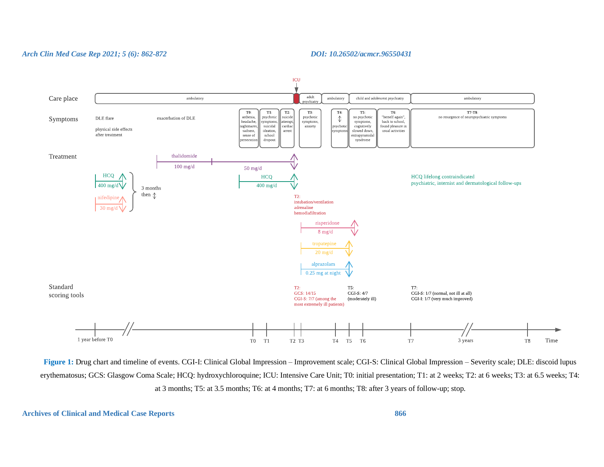

**Figure 1:** Drug chart and timeline of events. CGI-I: Clinical Global Impression – Improvement scale; CGI-S: Clinical Global Impression – Severity scale; DLE: discoid lupus erythematosus; GCS: Glasgow Coma Scale; HCQ: hydroxychloroquine; ICU: Intensive Care Unit; T0: initial presentation; T1: at 2 weeks; T2: at 6 weeks; T3: at 6.5 weeks; T4: at 3 months; T5: at 3.5 months; T6: at 4 months; T7: at 6 months; T8: after 3 years of follow-up; stop.

# **Archives of Clinical and Medical Case Reports 866**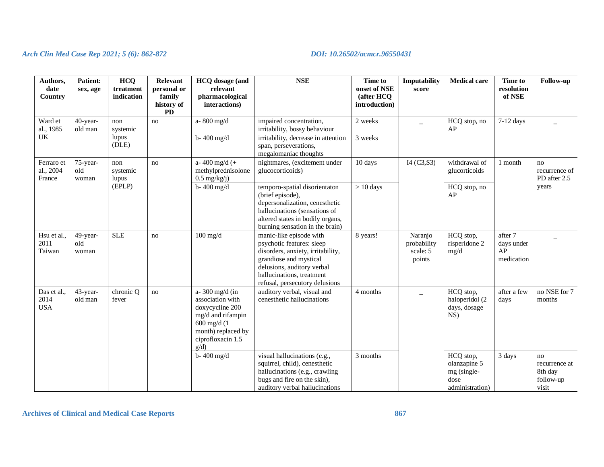| Authors,<br>date<br>Country       | <b>Patient:</b><br>sex, age | <b>HCQ</b><br>treatment<br>indication | Relevant<br>personal or<br>family<br>history of<br><b>PD</b> | HCQ dosage (and<br>relevant<br>pharmacological<br>interactions)                                                                                   | <b>NSE</b>                                                                                                                                                                                                       | <b>Time to</b><br>onset of NSE<br>(after HCQ)<br>introduction) | <b>Imputability</b><br>score                 | <b>Medical care</b>                                                 | <b>Time to</b><br>resolution<br>of NSE    | Follow-up                                            |
|-----------------------------------|-----------------------------|---------------------------------------|--------------------------------------------------------------|---------------------------------------------------------------------------------------------------------------------------------------------------|------------------------------------------------------------------------------------------------------------------------------------------------------------------------------------------------------------------|----------------------------------------------------------------|----------------------------------------------|---------------------------------------------------------------------|-------------------------------------------|------------------------------------------------------|
| Ward et<br>al., 1985<br>UK        | 40-year-<br>old man         | non<br>systemic<br>lupus<br>(DLE)     | no                                                           | a-800 mg/d                                                                                                                                        | impaired concentration,<br>irritability, bossy behaviour                                                                                                                                                         | 2 weeks                                                        |                                              | HCQ stop, no<br>AP                                                  | $7-12$ days                               |                                                      |
|                                   |                             |                                       |                                                              | b-400 mg/d                                                                                                                                        | irritability, decrease in attention<br>span, perseverations,<br>megalomaniac thoughts                                                                                                                            | 3 weeks                                                        |                                              |                                                                     |                                           |                                                      |
| Ferraro et<br>al., 2004<br>France | 75-year-<br>old<br>woman    | non<br>systemic<br>lupus<br>(EPLP)    | no                                                           | a-400 mg/d $(+$<br>methylprednisolone<br>$0.5 \text{ mg/kg}(j)$                                                                                   | nightmares, (excitement under<br>glucocorticoids)                                                                                                                                                                | 10 days                                                        | I4 (C3,S3)                                   | withdrawal of<br>glucorticoids                                      | 1 month                                   | no<br>recurrence of<br>PD after 2.5<br>years         |
|                                   |                             |                                       |                                                              | b-400 mg/d                                                                                                                                        | temporo-spatial disorientaton<br>(brief episode),<br>depersonalization, cenesthetic<br>hallucinations (sensations of<br>altered states in bodily organs,<br>burning sensation in the brain)                      | $> 10$ days                                                    |                                              | HCQ stop, no<br>AP                                                  |                                           |                                                      |
| Hsu et al.,<br>2011<br>Taiwan     | 49-year-<br>old<br>woman    | <b>SLE</b>                            | no                                                           | $100$ mg/d                                                                                                                                        | manic-like episode with<br>psychotic features: sleep<br>disorders, anxiety, irritability,<br>grandiose and mystical<br>delusions, auditory verbal<br>hallucinations, treatment<br>refusal, persecutory delusions | 8 years!                                                       | Naranjo<br>probability<br>scale: 5<br>points | HCQ stop,<br>risperidone 2<br>mg/d                                  | after 7<br>days under<br>AP<br>medication |                                                      |
| Das et al.,<br>2014<br><b>USA</b> | 43-year-<br>old man         | chronic Q<br>fever                    | no                                                           | a- 300 mg/d (in<br>association with<br>doxycycline 200<br>mg/d and rifampin<br>$600$ mg/d $(1)$<br>month) replaced by<br>ciprofloxacin 1.5<br>g/d | auditory verbal, visual and<br>cenesthetic hallucinations                                                                                                                                                        | 4 months                                                       | $\overline{\phantom{0}}$                     | HCQ stop,<br>haloperidol (2<br>days, dosage<br>NS)                  | after a few<br>days                       | no NSE for 7<br>months                               |
|                                   |                             |                                       |                                                              | b-400 mg/d                                                                                                                                        | visual hallucinations (e.g.,<br>squirrel, child), cenesthetic<br>hallucinations (e.g., crawling<br>bugs and fire on the skin),<br>auditory verbal hallucinations                                                 | 3 months                                                       |                                              | HCQ stop,<br>olanzapine 5<br>mg (single-<br>dose<br>administration) | 3 days                                    | no<br>recurrence at<br>8th day<br>follow-up<br>visit |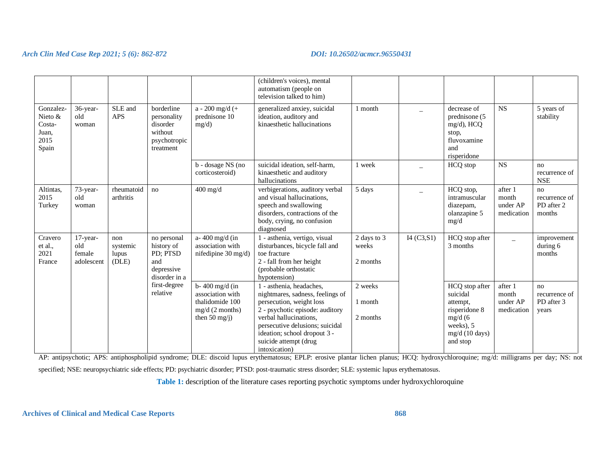|                                                          |                                         |                                   |                                                                               |                                                                                                        | (children's voices), mental<br>automatism (people on<br>television talked to him)                                                                                                                                                                                  |                                  |             |                                                                                                               |                                            |                                             |
|----------------------------------------------------------|-----------------------------------------|-----------------------------------|-------------------------------------------------------------------------------|--------------------------------------------------------------------------------------------------------|--------------------------------------------------------------------------------------------------------------------------------------------------------------------------------------------------------------------------------------------------------------------|----------------------------------|-------------|---------------------------------------------------------------------------------------------------------------|--------------------------------------------|---------------------------------------------|
| Gonzalez-<br>Nieto &<br>Costa-<br>Juan,<br>2015<br>Spain | 36-year-<br>old<br>woman                | SLE and<br><b>APS</b>             | borderline<br>personality<br>disorder<br>without<br>psychotropic<br>treatment | $a - 200$ mg/d (+<br>prednisone 10<br>mg/d)                                                            | generalized anxiey, suicidal<br>ideation, auditory and<br>kinaesthetic hallucinations                                                                                                                                                                              | 1 month                          |             | decrease of<br>prednisone (5<br>$mg/d$ ), HCQ<br>stop,<br>fluvoxamine<br>and<br>risperidone                   | <b>NS</b>                                  | 5 years of<br>stability                     |
|                                                          |                                         |                                   |                                                                               | b - dosage NS (no<br>corticosteroid)                                                                   | suicidal ideation, self-harm,<br>kinaesthetic and auditory<br>hallucinations                                                                                                                                                                                       | 1 week                           |             | HCQ stop                                                                                                      | <b>NS</b>                                  | no<br>recurrence of<br><b>NSE</b>           |
| Altintas.<br>2015<br>Turkey                              | 73-year-<br>old<br>woman                | rheumatoid<br>arthritis           | no                                                                            | $400$ mg/d                                                                                             | verbigerations, auditory verbal<br>and visual hallucinations,<br>speech and swallowing<br>disorders, contractions of the<br>body, crying, no confusion<br>diagnosed                                                                                                | 5 days                           |             | HCQ stop,<br>intramuscular<br>diazepam,<br>olanzapine 5<br>mg/d                                               | after 1<br>month<br>under AP<br>medication | no<br>recurrence of<br>PD after 2<br>months |
| Cravero<br>et al.,<br>2021<br>France                     | 17-year-<br>old<br>female<br>adolescent | non<br>systemic<br>lupus<br>(DLE) | no personal<br>history of<br>PD; PTSD<br>and<br>depressive<br>disorder in a   | a- 400 mg/d (in<br>association with<br>nifedipine $30 \text{ mg/d}$                                    | 1 - asthenia, vertigo, visual<br>disturbances, bicycle fall and<br>toe fracture<br>2 - fall from her height<br>(probable orthostatic<br>hypotension)                                                                                                               | 2 days to 3<br>weeks<br>2 months | I4 (C3, S1) | HCQ stop after<br>3 months                                                                                    | $\overline{\phantom{0}}$                   | improvement<br>during 6<br>months           |
|                                                          |                                         |                                   | first-degree<br>relative                                                      | $b - 400$ mg/d (in<br>association with<br>thalidomide 100<br>mg/d(2 months)<br>then $50 \text{ mg}(j)$ | 1 - asthenia, headaches,<br>nightmares, sadness, feelings of<br>persecution, weight loss<br>2 - psychotic episode: auditory<br>verbal hallucinations.<br>persecutive delusions; suicidal<br>ideation; school dropout 3 -<br>suicide attempt (drug<br>intoxication) | 2 weeks<br>1 month<br>2 months   |             | HCQ stop after<br>suicidal<br>attempt,<br>risperidone 8<br>mg/d(6)<br>weeks), 5<br>mg/d (10 days)<br>and stop | after 1<br>month<br>under AP<br>medication | no<br>recurrence of<br>PD after 3<br>years  |

AP: antipsychotic; APS: antiphospholipid syndrome; DLE: discoid lupus erythematosus; EPLP: erosive plantar lichen planus; HCQ: hydroxychloroquine; mg/d: milligrams per day; NS: not

specified; NSE: neuropsychiatric side effects; PD: psychiatric disorder; PTSD: post-traumatic stress disorder; SLE: systemic lupus erythematosus.

**Table 1:** description of the literature cases reporting psychotic symptoms under hydroxychloroquine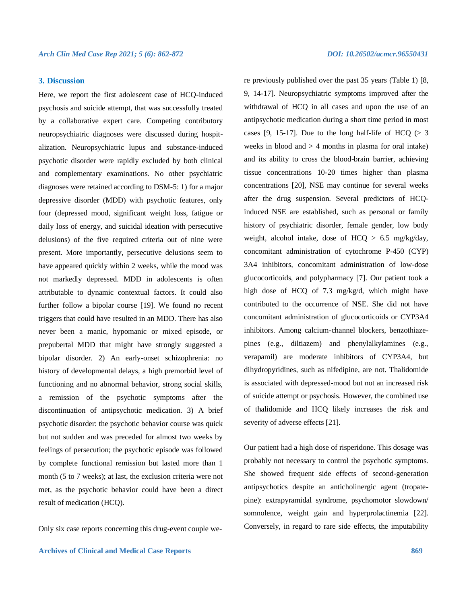# **3. Discussion**

Here, we report the first adolescent case of HCQ-induced psychosis and suicide attempt, that was successfully treated by a collaborative expert care. Competing contributory neuropsychiatric diagnoses were discussed during hospitalization. Neuropsychiatric lupus and substance-induced psychotic disorder were rapidly excluded by both clinical and complementary examinations. No other psychiatric diagnoses were retained according to DSM-5: 1) for a major depressive disorder (MDD) with psychotic features, only four (depressed mood, significant weight loss, fatigue or daily loss of energy, and suicidal ideation with persecutive delusions) of the five required criteria out of nine were present. More importantly, persecutive delusions seem to have appeared quickly within 2 weeks, while the mood was not markedly depressed. MDD in adolescents is often attributable to dynamic contextual factors. It could also further follow a bipolar course [19]. We found no recent triggers that could have resulted in an MDD. There has also never been a manic, hypomanic or mixed episode, or prepubertal MDD that might have strongly suggested a bipolar disorder. 2) An early-onset schizophrenia: no history of developmental delays, a high premorbid level of functioning and no abnormal behavior, strong social skills, a remission of the psychotic symptoms after the discontinuation of antipsychotic medication. 3) A brief psychotic disorder: the psychotic behavior course was quick but not sudden and was preceded for almost two weeks by feelings of persecution; the psychotic episode was followed by complete functional remission but lasted more than 1 month (5 to 7 weeks); at last, the exclusion criteria were not met, as the psychotic behavior could have been a direct result of medication (HCQ).

Only six case reports concerning this drug-event couple we-

re previously published over the past 35 years (Table 1) [8, 9, 14-17]. Neuropsychiatric symptoms improved after the withdrawal of HCQ in all cases and upon the use of an antipsychotic medication during a short time period in most cases [9, 15-17]. Due to the long half-life of HCQ  $(> 3$ weeks in blood and  $> 4$  months in plasma for oral intake) and its ability to cross the blood-brain barrier, achieving tissue concentrations 10-20 times higher than plasma concentrations [20], NSE may continue for several weeks after the drug suspension. Several predictors of HCQinduced NSE are established, such as personal or family history of psychiatric disorder, female gender, low body weight, alcohol intake, dose of  $HCQ > 6.5$  mg/kg/day, concomitant administration of cytochrome P-450 (CYP) 3A4 inhibitors, concomitant administration of low-dose glucocorticoids, and polypharmacy [7]. Our patient took a high dose of HCQ of 7.3 mg/kg/d, which might have contributed to the occurrence of NSE. She did not have concomitant administration of glucocorticoids or CYP3A4 inhibitors. Among calcium-channel blockers, benzothiazepines (e.g., diltiazem) and phenylalkylamines (e.g., verapamil) are moderate inhibitors of CYP3A4, but dihydropyridines, such as nifedipine, are not. Thalidomide is associated with depressed-mood but not an increased risk of suicide attempt or psychosis. However, the combined use of thalidomide and HCQ likely increases the risk and severity of adverse effects [21].

Our patient had a high dose of risperidone. This dosage was probably not necessary to control the psychotic symptoms. She showed frequent side effects of second-generation antipsychotics despite an anticholinergic agent (tropatepine): extrapyramidal syndrome, psychomotor slowdown/ somnolence, weight gain and hyperprolactinemia [22]. Conversely, in regard to rare side effects, the imputability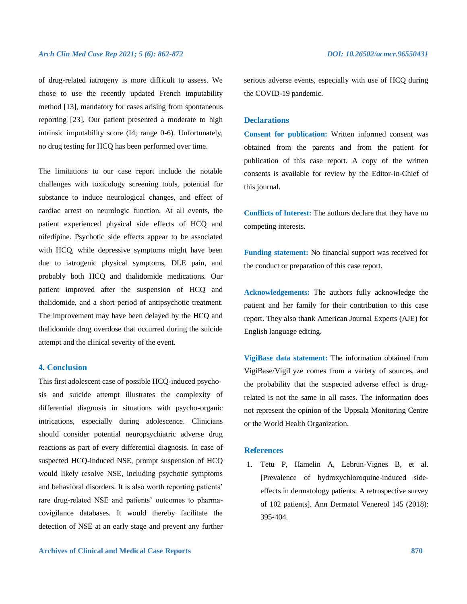of drug-related iatrogeny is more difficult to assess. We chose to use the recently updated French imputability method [13], mandatory for cases arising from spontaneous reporting [23]. Our patient presented a moderate to high intrinsic imputability score (I4; range 0-6). Unfortunately, no drug testing for HCQ has been performed over time.

The limitations to our case report include the notable challenges with toxicology screening tools, potential for substance to induce neurological changes, and effect of cardiac arrest on neurologic function. At all events, the patient experienced physical side effects of HCQ and nifedipine. Psychotic side effects appear to be associated with HCQ, while depressive symptoms might have been due to iatrogenic physical symptoms, DLE pain, and probably both HCQ and thalidomide medications. Our patient improved after the suspension of HCQ and thalidomide, and a short period of antipsychotic treatment. The improvement may have been delayed by the HCQ and thalidomide drug overdose that occurred during the suicide attempt and the clinical severity of the event.

# **4. Conclusion**

This first adolescent case of possible HCQ-induced psychosis and suicide attempt illustrates the complexity of differential diagnosis in situations with psycho-organic intrications, especially during adolescence. Clinicians should consider potential neuropsychiatric adverse drug reactions as part of every differential diagnosis. In case of suspected HCQ-induced NSE, prompt suspension of HCQ would likely resolve NSE, including psychotic symptoms and behavioral disorders. It is also worth reporting patients' rare drug-related NSE and patients' outcomes to pharmacovigilance databases. It would thereby facilitate the detection of NSE at an early stage and prevent any further

serious adverse events, especially with use of HCQ during the COVID-19 pandemic.

### **Declarations**

**Consent for publication:** Written informed consent was obtained from the parents and from the patient for publication of this case report. A copy of the written consents is available for review by the Editor-in-Chief of this journal.

**Conflicts of Interest:** The authors declare that they have no competing interests.

**Funding statement:** No financial support was received for the conduct or preparation of this case report.

**Acknowledgements:** The authors fully acknowledge the patient and her family for their contribution to this case report. They also thank American Journal Experts (AJE) for English language editing.

**VigiBase data statement:** The information obtained from VigiBase/VigiLyze comes from a variety of sources, and the probability that the suspected adverse effect is drugrelated is not the same in all cases. The information does not represent the opinion of the Uppsala Monitoring Centre or the World Health Organization.

# **References**

1. Tetu P, Hamelin A, Lebrun-Vignes B, et al. [Prevalence of hydroxychloroquine-induced sideeffects in dermatology patients: A retrospective survey of 102 patients]. Ann Dermatol Venereol 145 (2018): 395-404.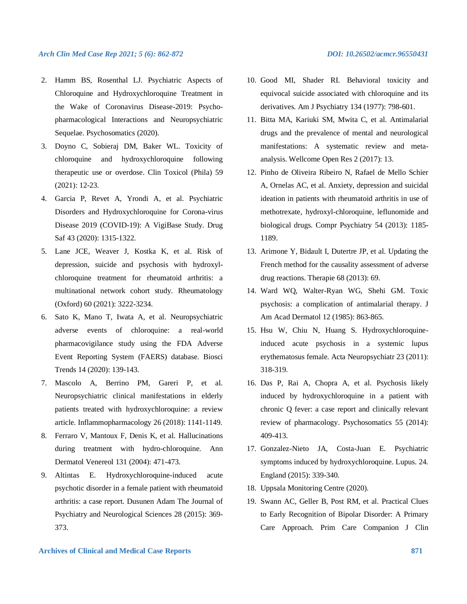- 2. Hamm BS, Rosenthal LJ. Psychiatric Aspects of Chloroquine and Hydroxychloroquine Treatment in the Wake of Coronavirus Disease-2019: Psychopharmacological Interactions and Neuropsychiatric Sequelae. Psychosomatics (2020).
- 3. Doyno C, Sobieraj DM, Baker WL. Toxicity of chloroquine and hydroxychloroquine following therapeutic use or overdose. Clin Toxicol (Phila) 59 (2021): 12-23.
- 4. Garcia P, Revet A, Yrondi A, et al. Psychiatric Disorders and Hydroxychloroquine for Corona-virus Disease 2019 (COVID-19): A VigiBase Study. Drug Saf 43 (2020): 1315-1322.
- 5. Lane JCE, Weaver J, Kostka K, et al. Risk of depression, suicide and psychosis with hydroxylchloroquine treatment for rheumatoid arthritis: a multinational network cohort study. Rheumatology (Oxford) 60 (2021): 3222-3234.
- 6. Sato K, Mano T, Iwata A, et al. Neuropsychiatric adverse events of chloroquine: a real-world pharmacovigilance study using the FDA Adverse Event Reporting System (FAERS) database. Biosci Trends 14 (2020): 139-143.
- 7. Mascolo A, Berrino PM, Gareri P, et al. Neuropsychiatric clinical manifestations in elderly patients treated with hydroxychloroquine: a review article. Inflammopharmacology 26 (2018): 1141-1149.
- 8. Ferraro V, Mantoux F, Denis K, et al. Hallucinations during treatment with hydro-chloroquine. Ann Dermatol Venereol 131 (2004): 471-473.
- 9. Altintas E. Hydroxychloroquine-induced acute psychotic disorder in a female patient with rheumatoid arthritis: a case report. Dusunen Adam The Journal of Psychiatry and Neurological Sciences 28 (2015): 369- 373.
- 10. Good MI, Shader RI. Behavioral toxicity and equivocal suicide associated with chloroquine and its derivatives. Am J Psychiatry 134 (1977): 798-601.
- 11. Bitta MA, Kariuki SM, Mwita C, et al. Antimalarial drugs and the prevalence of mental and neurological manifestations: A systematic review and metaanalysis. Wellcome Open Res 2 (2017): 13.
- 12. Pinho de Oliveira Ribeiro N, Rafael de Mello Schier A, Ornelas AC, et al. Anxiety, depression and suicidal ideation in patients with rheumatoid arthritis in use of methotrexate, hydroxyl-chloroquine, leflunomide and biological drugs. Compr Psychiatry 54 (2013): 1185- 1189.
- 13. Arimone Y, Bidault I, Dutertre JP, et al. Updating the French method for the causality assessment of adverse drug reactions. Therapie 68 (2013): 69.
- 14. Ward WQ, Walter-Ryan WG, Shehi GM. Toxic psychosis: a complication of antimalarial therapy. J Am Acad Dermatol 12 (1985): 863-865.
- 15. Hsu W, Chiu N, Huang S. Hydroxychloroquineinduced acute psychosis in a systemic lupus erythematosus female. Acta Neuropsychiatr 23 (2011): 318-319.
- 16. Das P, Rai A, Chopra A, et al. Psychosis likely induced by hydroxychloroquine in a patient with chronic Q fever: a case report and clinically relevant review of pharmacology. Psychosomatics 55 (2014): 409-413.
- 17. Gonzalez-Nieto JA, Costa-Juan E. Psychiatric symptoms induced by hydroxychloroquine. Lupus. 24. England (2015): 339-340.
- 18. Uppsala Monitoring Centre (2020).
- 19. Swann AC, Geller B, Post RM, et al. Practical Clues to Early Recognition of Bipolar Disorder: A Primary Care Approach. Prim Care Companion J Clin